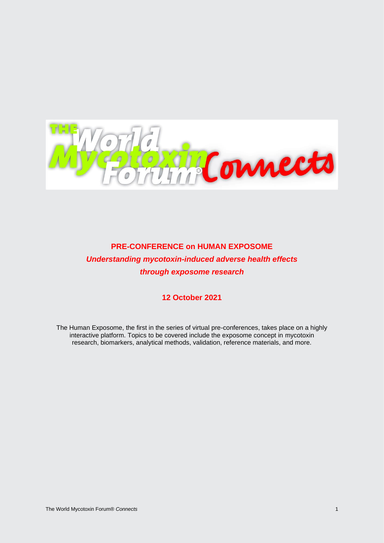

**PRE-CONFERENCE on HUMAN EXPOSOME** *Understanding mycotoxin-induced adverse health effects through exposome research*

# **12 October 2021**

The Human Exposome, the first in the series of virtual pre-conferences, takes place on a highly interactive platform. Topics to be covered include the exposome concept in mycotoxin research, biomarkers, analytical methods, validation, reference materials, and more.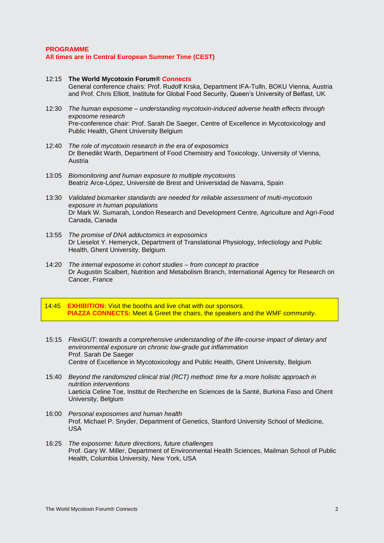### **PROGRAMME All times are in Central European Summer Time (CEST)**

- 12:15 **The World Mycotoxin Forum®** *Connects* General conference chairs: Prof. Rudolf Krska, Department IFA-Tulln, BOKU Vienna, Austria and Prof. Chris Elliott, Institute for Global Food Security, Queen's University of Belfast, UK
- 12:30 *The human exposome – understanding mycotoxin-induced adverse health effects through exposome research* Pre-conference chair: Prof. Sarah De Saeger, Centre of Excellence in Mycotoxicology and Public Health, Ghent University Belgium
- 12:40 *The role of mycotoxin research in the era of exposomics* Dr Benedikt Warth, Department of Food Chemistry and Toxicology, University of Vienna, Austria
- 13:05 *Biomonitoring and human exposure to multiple mycotoxins* Beatriz Arce-López, Université de Brest and Universidad de Navarra, Spain
- 13:30 *Validated biomarker standards are needed for reliable assessment of multi-mycotoxin exposure in human populations* Dr Mark W. Sumarah, London Research and Development Centre, Agriculture and Agri-Food Canada, Canada
- 13:55 *The promise of DNA adductomics in exposomics* Dr Lieselot Y. Hemeryck, Department of Translational Physiology, Infectiology and Public Health, Ghent University, Belgium
- 14:20 *The internal exposome in cohort studies – from concept to practice* Dr Augustin Scalbert, Nutrition and Metabolism Branch, International Agency for Research on Cancer, France
- 14:45 **EXHIBITION:** Visit the booths and live chat with our sponsors. **PIAZZA CONNECTS:** Meet & Greet the chairs, the speakers and the WMF community.
- 15:15 *Flex*i*GUT: towards a comprehensive understanding of the life-course impact of dietary and environmental exposure on chronic low-grade gut inflammation* Prof. Sarah De Saeger Centre of Excellence in Mycotoxicology and Public Health, Ghent University, Belgium
- 15:40 *Beyond the randomized clinical trial (RCT) method: time for a more holistic approach in nutrition interventions* Laeticia Celine Toe, Institut de Recherche en Sciences de la Santé, Burkina Faso and Ghent University, Belgium
- 16:00 *Personal exposomes and human health* Prof. Michael P. Snyder, Department of Genetics, Stanford University School of Medicine, USA
- 16:25 *The exposome: future directions, future challenges* Prof. Gary W. Miller, Department of Environmental Health Sciences, Mailman School of Public Health, Columbia University, New York, USA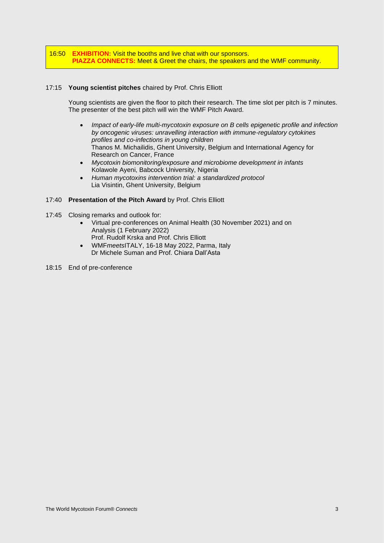16:50 **EXHIBITION:** Visit the booths and live chat with our sponsors. **PIAZZA CONNECTS:** Meet & Greet the chairs, the speakers and the WMF community.

# 17:15 **Young scientist pitches** chaired by Prof. Chris Elliott

Young scientists are given the floor to pitch their research. The time slot per pitch is 7 minutes. The presenter of the best pitch will win the WMF Pitch Award.

- *Impact of early-life multi-mycotoxin exposure on B cells epigenetic profile and infection by oncogenic viruses: unravelling interaction with immune-regulatory cytokines profiles and co-infections in young children* Thanos M. Michailidis, Ghent University, Belgium and International Agency for Research on Cancer, France
- *Mycotoxin biomonitoring/exposure and microbiome development in infants* Kolawole Ayeni, Babcock University, Nigeria
- *Human mycotoxins intervention trial: a standardized protocol* Lia Visintin, Ghent University, Belgium

# 17:40 **Presentation of the Pitch Award** by Prof. Chris Elliott

- 17:45 Closing remarks and outlook for:
	- Virtual pre-conferences on Animal Health (30 November 2021) and on Analysis (1 February 2022) Prof. Rudolf Krska and Prof. Chris Elliott
	- WMF*meets*ITALY, 16-18 May 2022, Parma, Italy Dr Michele Suman and Prof. Chiara Dall'Asta
- 18:15 End of pre-conference